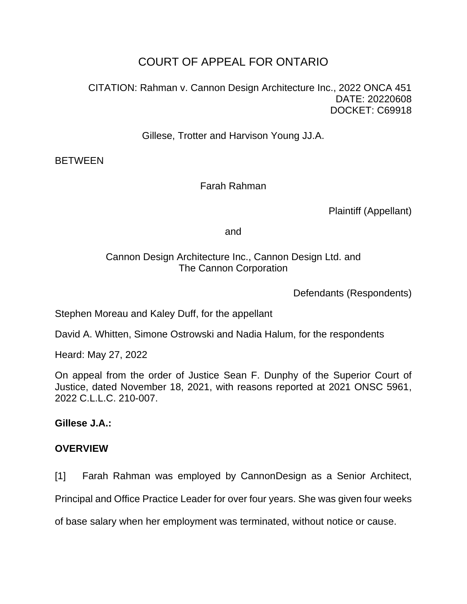## COURT OF APPEAL FOR ONTARIO

CITATION: Rahman v. Cannon Design Architecture Inc., 2022 ONCA 451 DATE: 20220608 DOCKET: C69918

Gillese, Trotter and Harvison Young JJ.A.

**BETWEEN** 

Farah Rahman

Plaintiff (Appellant)

and

### Cannon Design Architecture Inc., Cannon Design Ltd. and The Cannon Corporation

Defendants (Respondents)

Stephen Moreau and Kaley Duff, for the appellant

David A. Whitten, Simone Ostrowski and Nadia Halum, for the respondents

Heard: May 27, 2022

On appeal from the order of Justice Sean F. Dunphy of the Superior Court of Justice, dated November 18, 2021, with reasons reported at 2021 ONSC 5961, 2022 C.L.L.C. 210-007.

**Gillese J.A.:**

#### **OVERVIEW**

[1] Farah Rahman was employed by CannonDesign as a Senior Architect,

Principal and Office Practice Leader for over four years. She was given four weeks

of base salary when her employment was terminated, without notice or cause.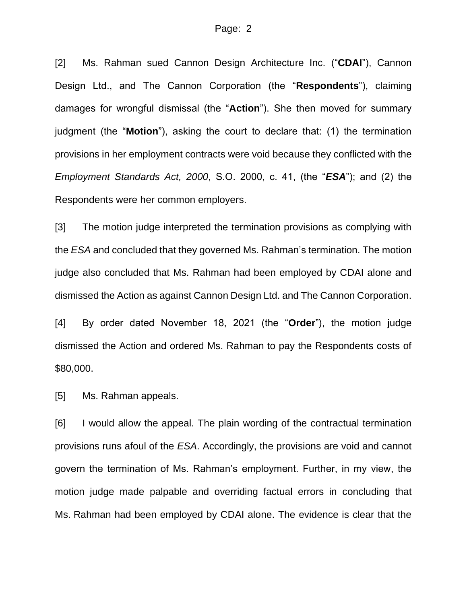[2] Ms. Rahman sued Cannon Design Architecture Inc. ("**CDAI**"), Cannon Design Ltd., and The Cannon Corporation (the "**Respondents**"), claiming damages for wrongful dismissal (the "**Action**"). She then moved for summary judgment (the "**Motion**"), asking the court to declare that: (1) the termination provisions in her employment contracts were void because they conflicted with the *Employment Standards Act, 2000*, S.O. 2000, c. 41, (the "*ESA*"); and (2) the Respondents were her common employers.

[3] The motion judge interpreted the termination provisions as complying with the *ESA* and concluded that they governed Ms. Rahman's termination. The motion judge also concluded that Ms. Rahman had been employed by CDAI alone and dismissed the Action as against Cannon Design Ltd. and The Cannon Corporation.

[4] By order dated November 18, 2021 (the "**Order**"), the motion judge dismissed the Action and ordered Ms. Rahman to pay the Respondents costs of \$80,000.

[5] Ms. Rahman appeals.

[6] I would allow the appeal. The plain wording of the contractual termination provisions runs afoul of the *ESA*. Accordingly, the provisions are void and cannot govern the termination of Ms. Rahman's employment. Further, in my view, the motion judge made palpable and overriding factual errors in concluding that Ms. Rahman had been employed by CDAI alone. The evidence is clear that the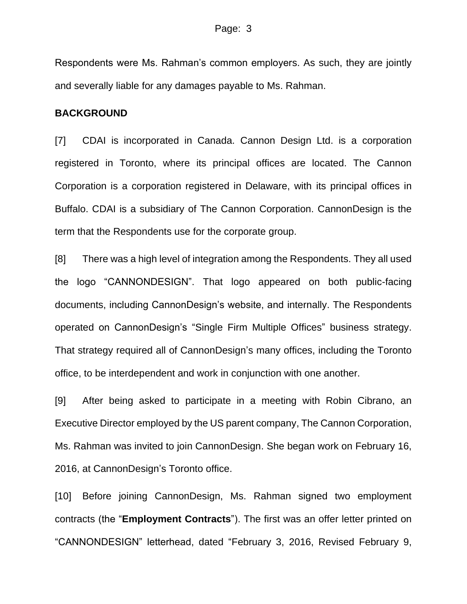Respondents were Ms. Rahman's common employers. As such, they are jointly and severally liable for any damages payable to Ms. Rahman.

#### **BACKGROUND**

[7] CDAI is incorporated in Canada. Cannon Design Ltd. is a corporation registered in Toronto, where its principal offices are located. The Cannon Corporation is a corporation registered in Delaware, with its principal offices in Buffalo. CDAI is a subsidiary of The Cannon Corporation. CannonDesign is the term that the Respondents use for the corporate group.

[8] There was a high level of integration among the Respondents. They all used the logo "CANNONDESIGN". That logo appeared on both public-facing documents, including CannonDesign's website, and internally. The Respondents operated on CannonDesign's "Single Firm Multiple Offices" business strategy. That strategy required all of CannonDesign's many offices, including the Toronto office, to be interdependent and work in conjunction with one another.

[9] After being asked to participate in a meeting with Robin Cibrano, an Executive Director employed by the US parent company, The Cannon Corporation, Ms. Rahman was invited to join CannonDesign. She began work on February 16, 2016, at CannonDesign's Toronto office.

[10] Before joining CannonDesign, Ms. Rahman signed two employment contracts (the "**Employment Contracts**"). The first was an offer letter printed on "CANNONDESIGN" letterhead, dated "February 3, 2016, Revised February 9,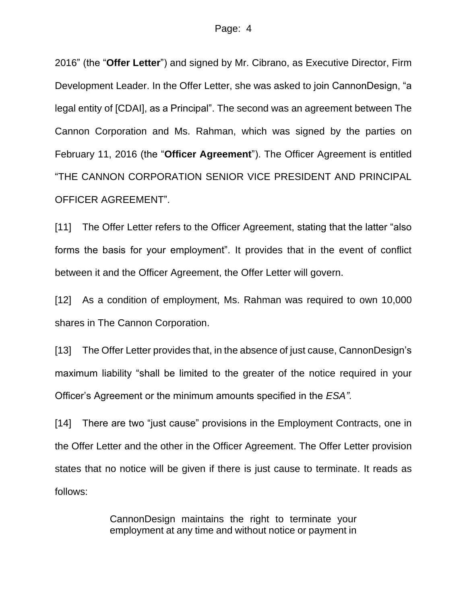2016" (the "**Offer Letter**") and signed by Mr. Cibrano, as Executive Director, Firm Development Leader. In the Offer Letter, she was asked to join CannonDesign, "a legal entity of [CDAI], as a Principal". The second was an agreement between The Cannon Corporation and Ms. Rahman, which was signed by the parties on February 11, 2016 (the "**Officer Agreement**"). The Officer Agreement is entitled "THE CANNON CORPORATION SENIOR VICE PRESIDENT AND PRINCIPAL OFFICER AGREEMENT".

[11] The Offer Letter refers to the Officer Agreement, stating that the latter "also forms the basis for your employment". It provides that in the event of conflict between it and the Officer Agreement, the Offer Letter will govern.

[12] As a condition of employment, Ms. Rahman was required to own 10,000 shares in The Cannon Corporation.

[13] The Offer Letter provides that, in the absence of just cause, CannonDesign's maximum liability "shall be limited to the greater of the notice required in your Officer's Agreement or the minimum amounts specified in the *ESA"*.

[14] There are two "just cause" provisions in the Employment Contracts, one in the Offer Letter and the other in the Officer Agreement. The Offer Letter provision states that no notice will be given if there is just cause to terminate. It reads as follows:

> CannonDesign maintains the right to terminate your employment at any time and without notice or payment in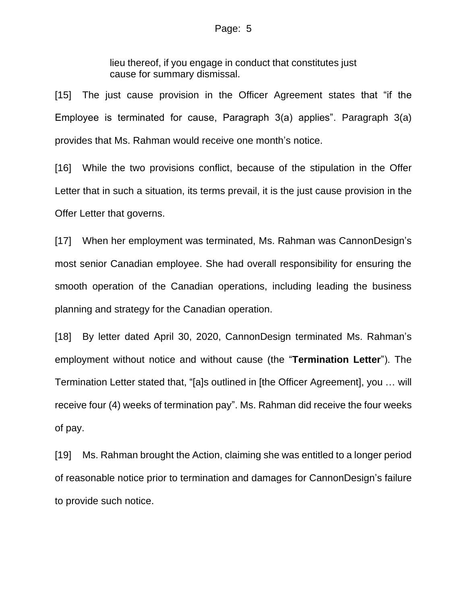lieu thereof, if you engage in conduct that constitutes just cause for summary dismissal.

[15] The just cause provision in the Officer Agreement states that "if the Employee is terminated for cause, Paragraph 3(a) applies". Paragraph 3(a) provides that Ms. Rahman would receive one month's notice.

[16] While the two provisions conflict, because of the stipulation in the Offer Letter that in such a situation, its terms prevail, it is the just cause provision in the Offer Letter that governs.

[17] When her employment was terminated, Ms. Rahman was CannonDesign's most senior Canadian employee. She had overall responsibility for ensuring the smooth operation of the Canadian operations, including leading the business planning and strategy for the Canadian operation.

[18] By letter dated April 30, 2020, CannonDesign terminated Ms. Rahman's employment without notice and without cause (the "**Termination Letter**"). The Termination Letter stated that, "[a]s outlined in [the Officer Agreement], you … will receive four (4) weeks of termination pay". Ms. Rahman did receive the four weeks of pay.

[19] Ms. Rahman brought the Action, claiming she was entitled to a longer period of reasonable notice prior to termination and damages for CannonDesign's failure to provide such notice.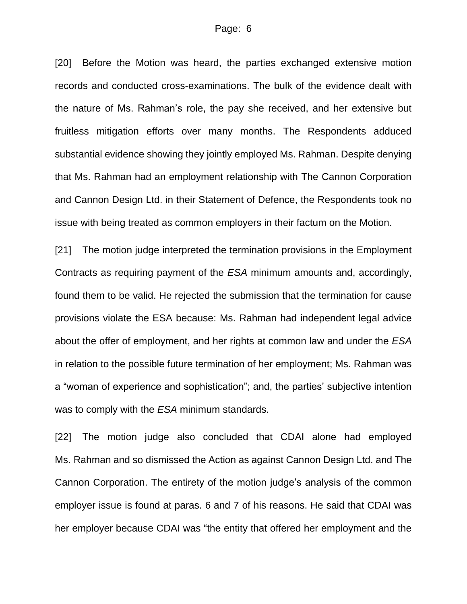[20] Before the Motion was heard, the parties exchanged extensive motion records and conducted cross-examinations. The bulk of the evidence dealt with the nature of Ms. Rahman's role, the pay she received, and her extensive but fruitless mitigation efforts over many months. The Respondents adduced substantial evidence showing they jointly employed Ms. Rahman. Despite denying that Ms. Rahman had an employment relationship with The Cannon Corporation and Cannon Design Ltd. in their Statement of Defence, the Respondents took no issue with being treated as common employers in their factum on the Motion.

[21] The motion judge interpreted the termination provisions in the Employment Contracts as requiring payment of the *ESA* minimum amounts and, accordingly, found them to be valid. He rejected the submission that the termination for cause provisions violate the ESA because: Ms. Rahman had independent legal advice about the offer of employment, and her rights at common law and under the *ESA* in relation to the possible future termination of her employment; Ms. Rahman was a "woman of experience and sophistication"; and, the parties' subjective intention was to comply with the *ESA* minimum standards.

[22] The motion judge also concluded that CDAI alone had employed Ms. Rahman and so dismissed the Action as against Cannon Design Ltd. and The Cannon Corporation. The entirety of the motion judge's analysis of the common employer issue is found at paras. 6 and 7 of his reasons. He said that CDAI was her employer because CDAI was "the entity that offered her employment and the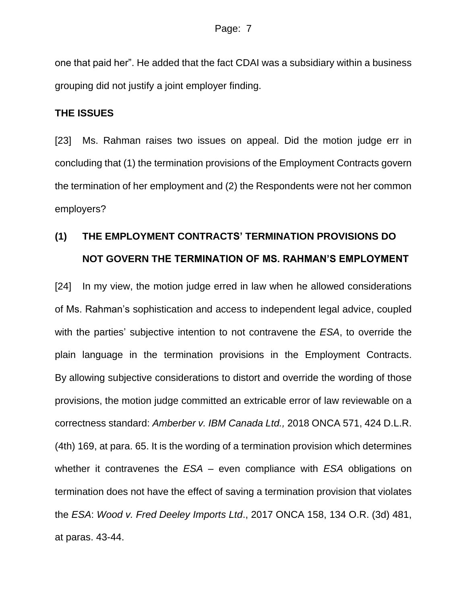one that paid her". He added that the fact CDAI was a subsidiary within a business grouping did not justify a joint employer finding.

#### **THE ISSUES**

[23] Ms. Rahman raises two issues on appeal. Did the motion judge err in concluding that (1) the termination provisions of the Employment Contracts govern the termination of her employment and (2) the Respondents were not her common employers?

# **(1) THE EMPLOYMENT CONTRACTS' TERMINATION PROVISIONS DO NOT GOVERN THE TERMINATION OF MS. RAHMAN'S EMPLOYMENT**

[24] In my view, the motion judge erred in law when he allowed considerations of Ms. Rahman's sophistication and access to independent legal advice, coupled with the parties' subjective intention to not contravene the *ESA*, to override the plain language in the termination provisions in the Employment Contracts. By allowing subjective considerations to distort and override the wording of those provisions, the motion judge committed an extricable error of law reviewable on a correctness standard: *Amberber v. IBM Canada Ltd.,* 2018 ONCA 571, 424 D.L.R. (4th) 169, at para. 65. It is the wording of a termination provision which determines whether it contravenes the *ESA* – even compliance with *ESA* obligations on termination does not have the effect of saving a termination provision that violates the *ESA*: *Wood v. Fred Deeley Imports Ltd*., 2017 ONCA 158, 134 O.R. (3d) 481, at paras. 43-44.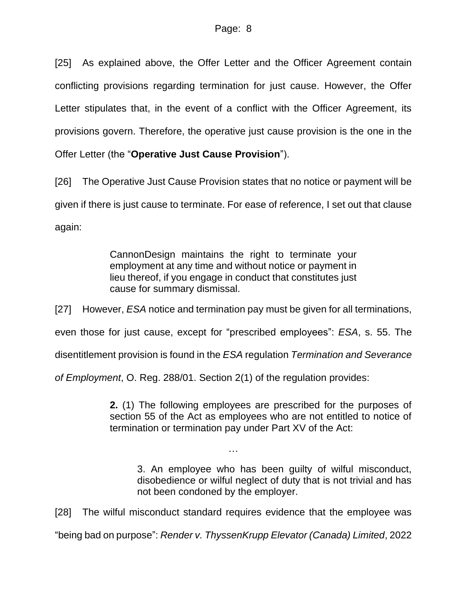[25] As explained above, the Offer Letter and the Officer Agreement contain conflicting provisions regarding termination for just cause. However, the Offer Letter stipulates that, in the event of a conflict with the Officer Agreement, its provisions govern. Therefore, the operative just cause provision is the one in the Offer Letter (the "**Operative Just Cause Provision**").

[26] The Operative Just Cause Provision states that no notice or payment will be given if there is just cause to terminate. For ease of reference, I set out that clause again:

> CannonDesign maintains the right to terminate your employment at any time and without notice or payment in lieu thereof, if you engage in conduct that constitutes just cause for summary dismissal.

[27] However, *ESA* notice and termination pay must be given for all terminations,

even those for just cause, except for "prescribed employees": *ESA*, s. 55. The

disentitlement provision is found in the *ESA* regulation *Termination and Severance* 

*of Employment*, O. Reg. 288/01. Section 2(1) of the regulation provides:

**2.** (1) The following employees are prescribed for the purposes of section 55 of the Act as employees who are not entitled to notice of termination or termination pay under Part XV of the Act:

3. An employee who has been guilty of wilful misconduct, disobedience or wilful neglect of duty that is not trivial and has not been condoned by the employer.

[28] The wilful misconduct standard requires evidence that the employee was

…

"being bad on purpose": *Render v. ThyssenKrupp Elevator (Canada) Limited*, 2022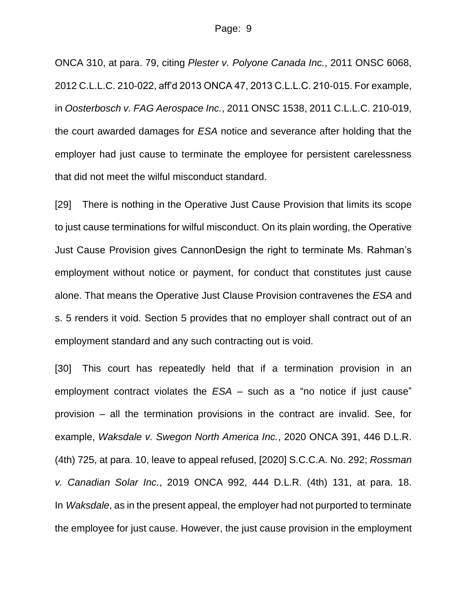ONCA 310, at para. 79, citing *Plester v. Polyone Canada Inc.*, 2011 ONSC 6068, 2012 C.L.L.C. 210-022, aff'd 2013 ONCA 47, 2013 C.L.L.C. 210-015. For example, in *Oosterbosch v. FAG Aerospace Inc.*, 2011 ONSC 1538, 2011 C.L.L.C. 210-019, the court awarded damages for *ESA* notice and severance after holding that the employer had just cause to terminate the employee for persistent carelessness that did not meet the wilful misconduct standard.

[29] There is nothing in the Operative Just Cause Provision that limits its scope to just cause terminations for wilful misconduct. On its plain wording, the Operative Just Cause Provision gives CannonDesign the right to terminate Ms. Rahman's employment without notice or payment, for conduct that constitutes just cause alone. That means the Operative Just Clause Provision contravenes the *ESA* and s. 5 renders it void. Section 5 provides that no employer shall contract out of an employment standard and any such contracting out is void.

[30] This court has repeatedly held that if a termination provision in an employment contract violates the *ESA* – such as a "no notice if just cause" provision – all the termination provisions in the contract are invalid. See, for example, *Waksdale v. Swegon North America Inc.*, 2020 ONCA 391, 446 D.L.R. (4th) 725, at para. 10, leave to appeal refused, [2020] S.C.C.A. No. 292; *Rossman v. Canadian Solar Inc.*, 2019 ONCA 992, 444 D.L.R. (4th) 131, at para. 18. In *Waksdale*, as in the present appeal, the employer had not purported to terminate the employee for just cause. However, the just cause provision in the employment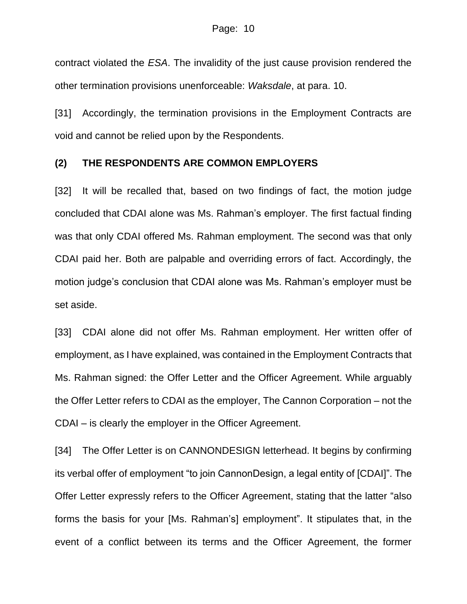contract violated the *ESA*. The invalidity of the just cause provision rendered the other termination provisions unenforceable: *Waksdale*, at para. 10.

[31] Accordingly, the termination provisions in the Employment Contracts are void and cannot be relied upon by the Respondents.

#### **(2) THE RESPONDENTS ARE COMMON EMPLOYERS**

[32] It will be recalled that, based on two findings of fact, the motion judge concluded that CDAI alone was Ms. Rahman's employer. The first factual finding was that only CDAI offered Ms. Rahman employment. The second was that only CDAI paid her. Both are palpable and overriding errors of fact. Accordingly, the motion judge's conclusion that CDAI alone was Ms. Rahman's employer must be set aside.

[33] CDAI alone did not offer Ms. Rahman employment. Her written offer of employment, as I have explained, was contained in the Employment Contracts that Ms. Rahman signed: the Offer Letter and the Officer Agreement. While arguably the Offer Letter refers to CDAI as the employer, The Cannon Corporation – not the CDAI – is clearly the employer in the Officer Agreement.

[34] The Offer Letter is on CANNONDESIGN letterhead. It begins by confirming its verbal offer of employment "to join CannonDesign, a legal entity of [CDAI]". The Offer Letter expressly refers to the Officer Agreement, stating that the latter "also forms the basis for your [Ms. Rahman's] employment". It stipulates that, in the event of a conflict between its terms and the Officer Agreement, the former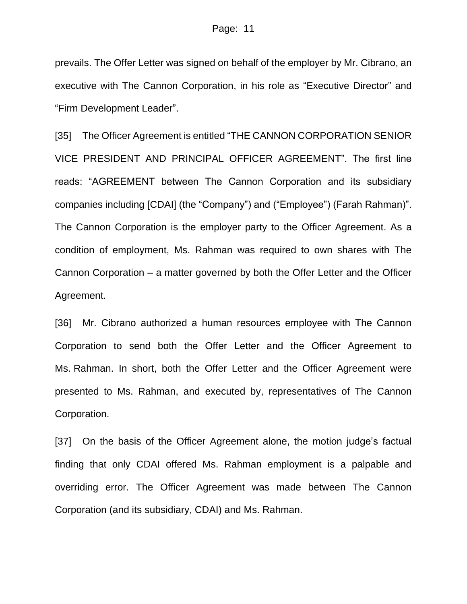prevails. The Offer Letter was signed on behalf of the employer by Mr. Cibrano, an executive with The Cannon Corporation, in his role as "Executive Director" and "Firm Development Leader".

[35] The Officer Agreement is entitled "THE CANNON CORPORATION SENIOR VICE PRESIDENT AND PRINCIPAL OFFICER AGREEMENT". The first line reads: "AGREEMENT between The Cannon Corporation and its subsidiary companies including [CDAI] (the "Company") and ("Employee") (Farah Rahman)". The Cannon Corporation is the employer party to the Officer Agreement. As a condition of employment, Ms. Rahman was required to own shares with The Cannon Corporation – a matter governed by both the Offer Letter and the Officer Agreement.

[36] Mr. Cibrano authorized a human resources employee with The Cannon Corporation to send both the Offer Letter and the Officer Agreement to Ms. Rahman. In short, both the Offer Letter and the Officer Agreement were presented to Ms. Rahman, and executed by, representatives of The Cannon Corporation.

[37] On the basis of the Officer Agreement alone, the motion judge's factual finding that only CDAI offered Ms. Rahman employment is a palpable and overriding error. The Officer Agreement was made between The Cannon Corporation (and its subsidiary, CDAI) and Ms. Rahman.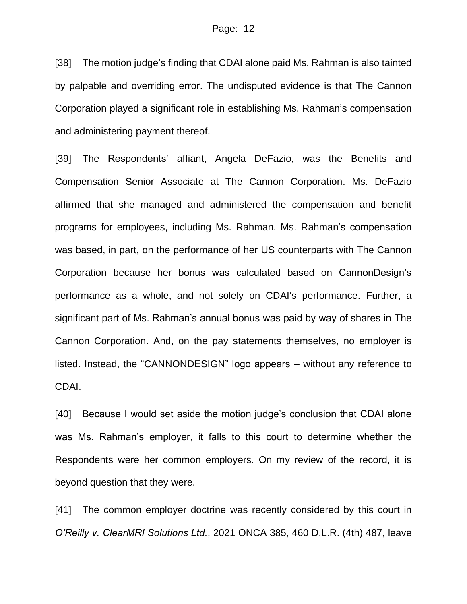[38] The motion judge's finding that CDAI alone paid Ms. Rahman is also tainted by palpable and overriding error. The undisputed evidence is that The Cannon Corporation played a significant role in establishing Ms. Rahman's compensation and administering payment thereof.

[39] The Respondents' affiant, Angela DeFazio, was the Benefits and Compensation Senior Associate at The Cannon Corporation. Ms. DeFazio affirmed that she managed and administered the compensation and benefit programs for employees, including Ms. Rahman. Ms. Rahman's compensation was based, in part, on the performance of her US counterparts with The Cannon Corporation because her bonus was calculated based on CannonDesign's performance as a whole, and not solely on CDAI's performance. Further, a significant part of Ms. Rahman's annual bonus was paid by way of shares in The Cannon Corporation. And, on the pay statements themselves, no employer is listed. Instead, the "CANNONDESIGN" logo appears – without any reference to CDAI.

[40] Because I would set aside the motion judge's conclusion that CDAI alone was Ms. Rahman's employer, it falls to this court to determine whether the Respondents were her common employers. On my review of the record, it is beyond question that they were.

[41] The common employer doctrine was recently considered by this court in *O'Reilly v. ClearMRI Solutions Ltd.*, 2021 ONCA 385, 460 D.L.R. (4th) 487, leave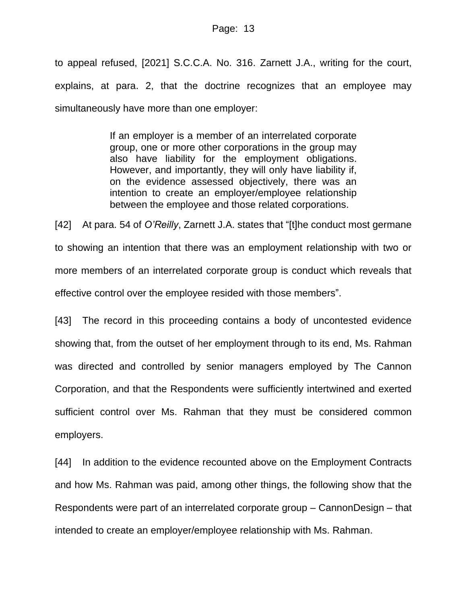to appeal refused, [2021] S.C.C.A. No. 316. Zarnett J.A., writing for the court, explains, at para. 2, that the doctrine recognizes that an employee may simultaneously have more than one employer:

> If an employer is a member of an interrelated corporate group, one or more other corporations in the group may also have liability for the employment obligations. However, and importantly, they will only have liability if, on the evidence assessed objectively, there was an intention to create an employer/employee relationship between the employee and those related corporations.

[42] At para. 54 of *O'Reilly*, Zarnett J.A. states that "[t]he conduct most germane to showing an intention that there was an employment relationship with two or more members of an interrelated corporate group is conduct which reveals that effective control over the employee resided with those members".

[43] The record in this proceeding contains a body of uncontested evidence showing that, from the outset of her employment through to its end, Ms. Rahman was directed and controlled by senior managers employed by The Cannon Corporation, and that the Respondents were sufficiently intertwined and exerted sufficient control over Ms. Rahman that they must be considered common employers.

[44] In addition to the evidence recounted above on the Employment Contracts and how Ms. Rahman was paid, among other things, the following show that the Respondents were part of an interrelated corporate group – CannonDesign – that intended to create an employer/employee relationship with Ms. Rahman.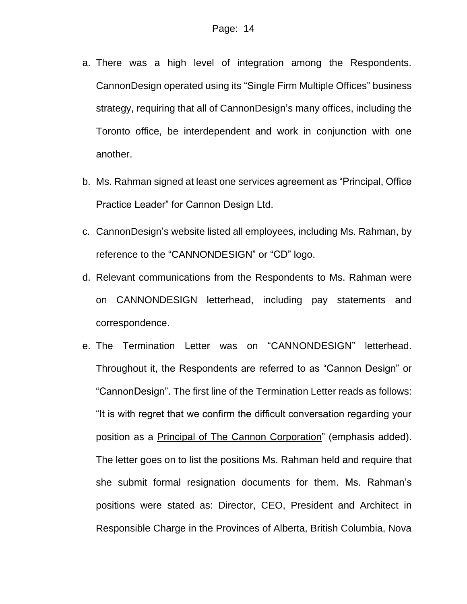- a. There was a high level of integration among the Respondents. CannonDesign operated using its "Single Firm Multiple Offices" business strategy, requiring that all of CannonDesign's many offices, including the Toronto office, be interdependent and work in conjunction with one another.
- b. Ms. Rahman signed at least one services agreement as "Principal, Office Practice Leader" for Cannon Design Ltd.
- c. CannonDesign's website listed all employees, including Ms. Rahman, by reference to the "CANNONDESIGN" or "CD" logo.
- d. Relevant communications from the Respondents to Ms. Rahman were on CANNONDESIGN letterhead, including pay statements and correspondence.
- e. The Termination Letter was on "CANNONDESIGN" letterhead. Throughout it, the Respondents are referred to as "Cannon Design" or "CannonDesign". The first line of the Termination Letter reads as follows: "It is with regret that we confirm the difficult conversation regarding your position as a Principal of The Cannon Corporation" (emphasis added). The letter goes on to list the positions Ms. Rahman held and require that she submit formal resignation documents for them. Ms. Rahman's positions were stated as: Director, CEO, President and Architect in Responsible Charge in the Provinces of Alberta, British Columbia, Nova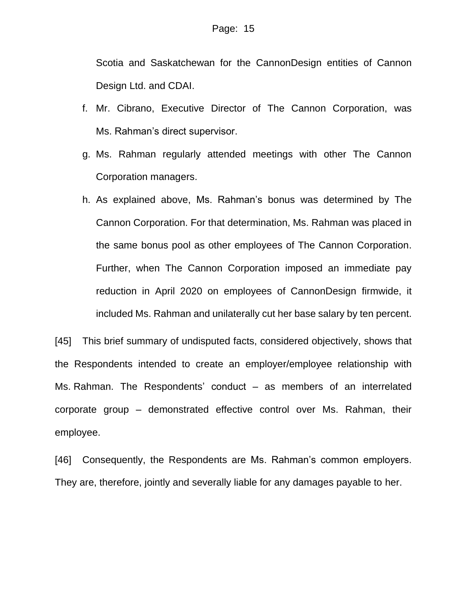Scotia and Saskatchewan for the CannonDesign entities of Cannon Design Ltd. and CDAI.

- f. Mr. Cibrano, Executive Director of The Cannon Corporation, was Ms. Rahman's direct supervisor.
- g. Ms. Rahman regularly attended meetings with other The Cannon Corporation managers.
- h. As explained above, Ms. Rahman's bonus was determined by The Cannon Corporation. For that determination, Ms. Rahman was placed in the same bonus pool as other employees of The Cannon Corporation. Further, when The Cannon Corporation imposed an immediate pay reduction in April 2020 on employees of CannonDesign firmwide, it included Ms. Rahman and unilaterally cut her base salary by ten percent.

[45] This brief summary of undisputed facts, considered objectively, shows that the Respondents intended to create an employer/employee relationship with Ms. Rahman. The Respondents' conduct – as members of an interrelated corporate group – demonstrated effective control over Ms. Rahman, their employee.

[46] Consequently, the Respondents are Ms. Rahman's common employers. They are, therefore, jointly and severally liable for any damages payable to her.